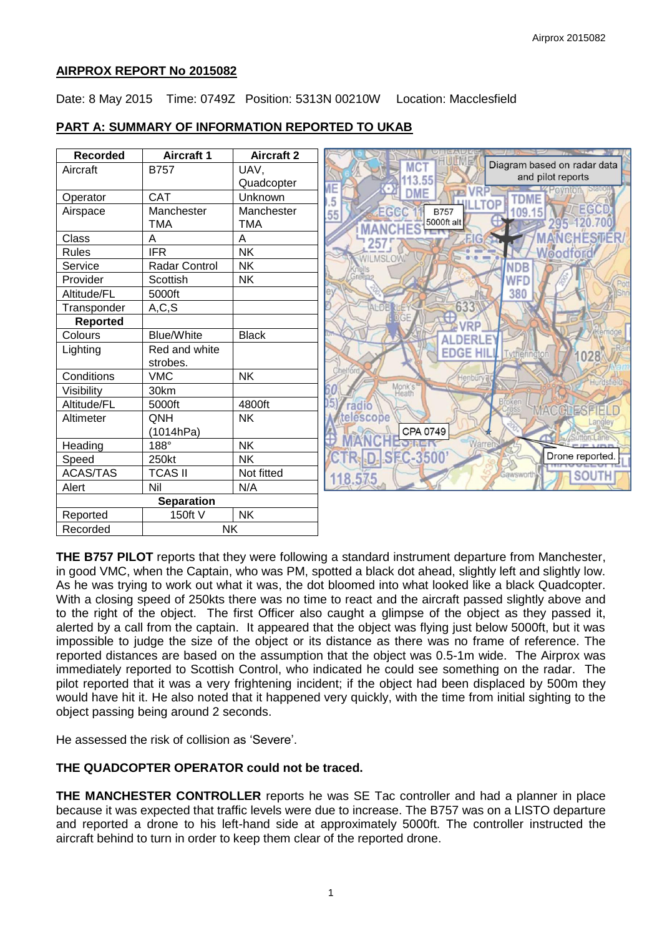#### **AIRPROX REPORT No 2015082**

Date: 8 May 2015 Time: 0749Z Position: 5313N 00210W Location: Macclesfield

### **PART A: SUMMARY OF INFORMATION REPORTED TO UKAB**



**THE B757 PILOT** reports that they were following a standard instrument departure from Manchester, in good VMC, when the Captain, who was PM, spotted a black dot ahead, slightly left and slightly low. As he was trying to work out what it was, the dot bloomed into what looked like a black Quadcopter. With a closing speed of 250kts there was no time to react and the aircraft passed slightly above and to the right of the object. The first Officer also caught a glimpse of the object as they passed it, alerted by a call from the captain. It appeared that the object was flying just below 5000ft, but it was impossible to judge the size of the object or its distance as there was no frame of reference. The reported distances are based on the assumption that the object was 0.5-1m wide. The Airprox was immediately reported to Scottish Control, who indicated he could see something on the radar. The pilot reported that it was a very frightening incident; if the object had been displaced by 500m they would have hit it. He also noted that it happened very quickly, with the time from initial sighting to the object passing being around 2 seconds.

He assessed the risk of collision as 'Severe'.

### **THE QUADCOPTER OPERATOR could not be traced.**

**THE MANCHESTER CONTROLLER** reports he was SE Tac controller and had a planner in place because it was expected that traffic levels were due to increase. The B757 was on a LISTO departure and reported a drone to his left-hand side at approximately 5000ft. The controller instructed the aircraft behind to turn in order to keep them clear of the reported drone.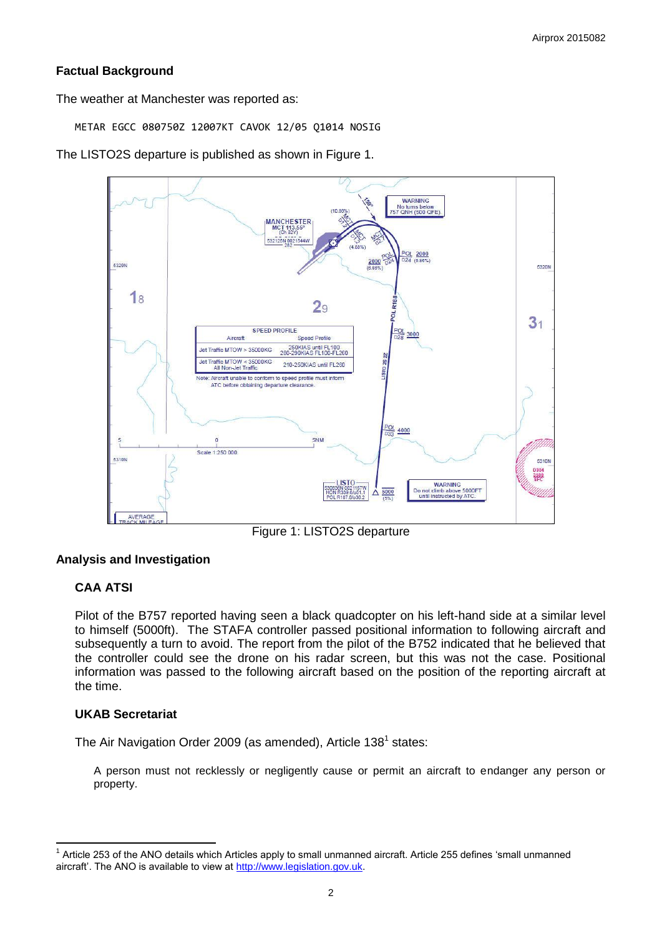## **Factual Background**

The weather at Manchester was reported as:

METAR EGCC 080750Z 12007KT CAVOK 12/05 Q1014 NOSIG

The LISTO2S departure is published as shown in Figure 1.



Figure 1: LISTO2S departure

### **Analysis and Investigation**

# **CAA ATSI**

Pilot of the B757 reported having seen a black quadcopter on his left-hand side at a similar level to himself (5000ft). The STAFA controller passed positional information to following aircraft and subsequently a turn to avoid. The report from the pilot of the B752 indicated that he believed that the controller could see the drone on his radar screen, but this was not the case. Positional information was passed to the following aircraft based on the position of the reporting aircraft at the time.

## **UKAB Secretariat**

The Air Navigation Order 2009 (as amended), Article 138<sup>1</sup> states:

A person must not recklessly or negligently cause or permit an aircraft to endanger any person or property.

 $\overline{\phantom{a}}$  $1$  Article 253 of the ANO details which Articles apply to small unmanned aircraft. Article 255 defines 'small unmanned aircraft'. The ANO is available to view at [http://www.legislation.gov.uk.](http://www.legislation.gov.uk/)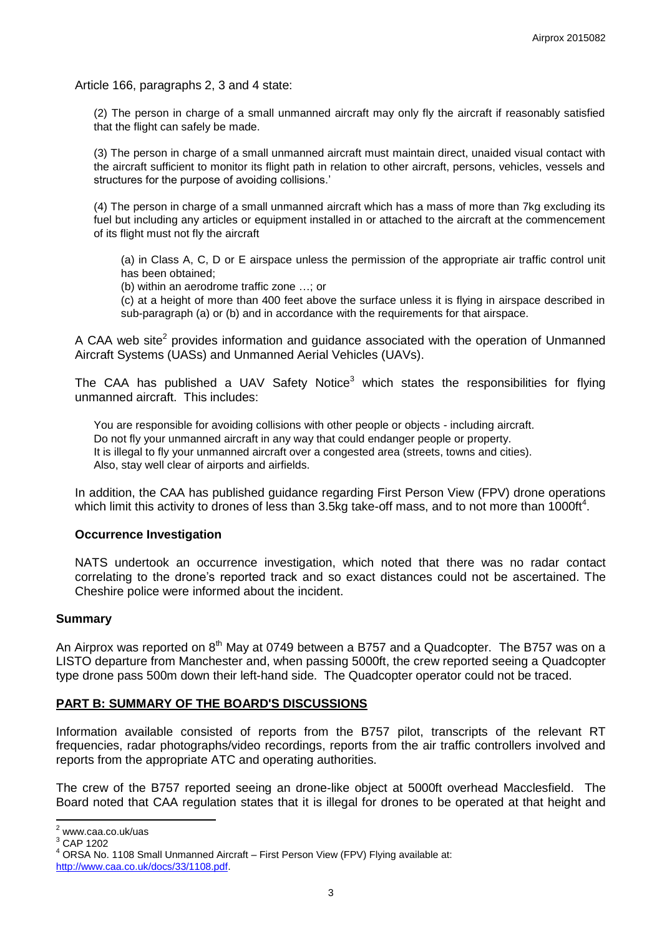Article 166, paragraphs 2, 3 and 4 state:

(2) The person in charge of a small unmanned aircraft may only fly the aircraft if reasonably satisfied that the flight can safely be made.

(3) The person in charge of a small unmanned aircraft must maintain direct, unaided visual contact with the aircraft sufficient to monitor its flight path in relation to other aircraft, persons, vehicles, vessels and structures for the purpose of avoiding collisions.'

(4) The person in charge of a small unmanned aircraft which has a mass of more than 7kg excluding its fuel but including any articles or equipment installed in or attached to the aircraft at the commencement of its flight must not fly the aircraft

(a) in Class A, C, D or E airspace unless the permission of the appropriate air traffic control unit has been obtained;

(b) within an aerodrome traffic zone …; or

(c) at a height of more than 400 feet above the surface unless it is flying in airspace described in sub-paragraph (a) or (b) and in accordance with the requirements for that airspace.

A CAA web site<sup>2</sup> provides information and guidance associated with the operation of Unmanned Aircraft Systems (UASs) and Unmanned Aerial Vehicles (UAVs).

The CAA has published a UAV Safety Notice<sup>3</sup> which states the responsibilities for flying unmanned aircraft. This includes:

You are responsible for avoiding collisions with other people or objects - including aircraft. Do not fly your unmanned aircraft in any way that could endanger people or property. It is illegal to fly your unmanned aircraft over a congested area (streets, towns and cities). Also, stay well clear of airports and airfields.

In addition, the CAA has published guidance regarding First Person View (FPV) drone operations which limit this activity to drones of less than 3.5kg take-off mass, and to not more than 1000ft<sup>4</sup>.

#### **Occurrence Investigation**

NATS undertook an occurrence investigation, which noted that there was no radar contact correlating to the drone's reported track and so exact distances could not be ascertained. The Cheshire police were informed about the incident.

#### **Summary**

An Airprox was reported on  $8<sup>th</sup>$  May at 0749 between a B757 and a Quadcopter. The B757 was on a LISTO departure from Manchester and, when passing 5000ft, the crew reported seeing a Quadcopter type drone pass 500m down their left-hand side. The Quadcopter operator could not be traced.

#### **PART B: SUMMARY OF THE BOARD'S DISCUSSIONS**

Information available consisted of reports from the B757 pilot, transcripts of the relevant RT frequencies, radar photographs/video recordings, reports from the air traffic controllers involved and reports from the appropriate ATC and operating authorities.

The crew of the B757 reported seeing an drone-like object at 5000ft overhead Macclesfield. The Board noted that CAA regulation states that it is illegal for drones to be operated at that height and

 $\overline{a}$ 

 $2$  www.caa.co.uk/uas

<sup>3</sup> CAP 1202

ORSA No. 1108 Small Unmanned Aircraft – First Person View (FPV) Flying available at: [http://www.caa.co.uk/docs/33/1108.pdf.](http://www.caa.co.uk/docs/33/1108.pdf)